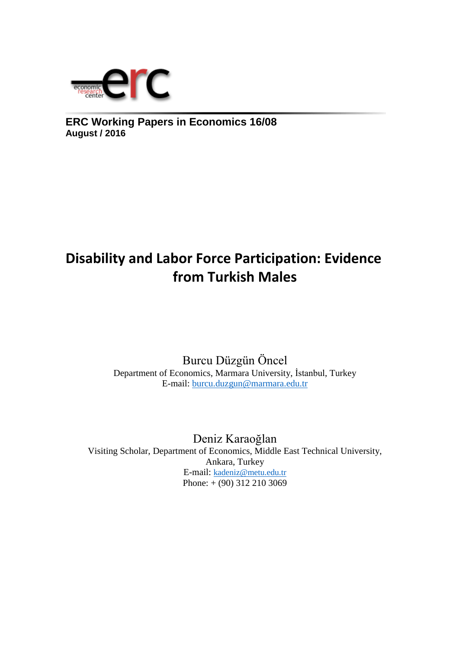

**ERC Working Papers in Economics 16/08 August / 2016**

# **Disability and Labor Force Participation: Evidence from Turkish Males**

Burcu Düzgün Öncel Department of Economics, Marmara University, İstanbul, Turkey E-mail: [burcu.duzgun@marmara.edu.tr](mailto:burcu.duzgun@marmara.edu.tr)

Deniz Karaoğlan Visiting Scholar, Department of Economics, Middle East Technical University, Ankara, Turkey E-mail: [kadeniz@metu.edu.tr](mailto:kadeniz@metu.edu.tr) Phone: + (90) 312 210 3069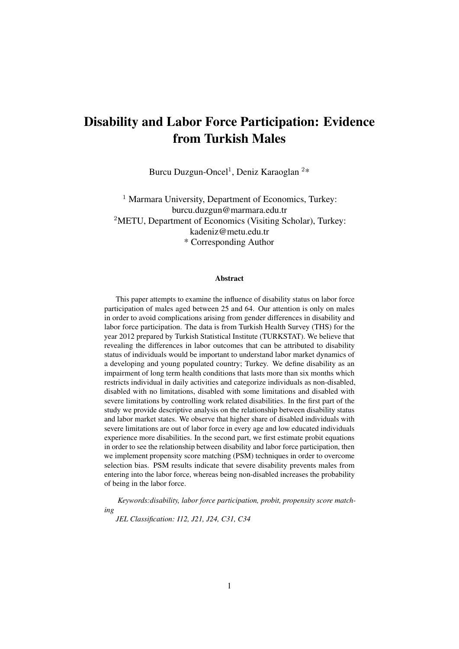## Disability and Labor Force Participation: Evidence from Turkish Males

Burcu Duzgun-Oncel<sup>1</sup>, Deniz Karaoglan<sup>2\*</sup>

<sup>1</sup> Marmara University, Department of Economics, Turkey: burcu.duzgun@marmara.edu.tr <sup>2</sup>METU, Department of Economics (Visiting Scholar), Turkey: kadeniz@metu.edu.tr \* Corresponding Author

#### Abstract

This paper attempts to examine the influence of disability status on labor force participation of males aged between 25 and 64. Our attention is only on males in order to avoid complications arising from gender differences in disability and labor force participation. The data is from Turkish Health Survey (THS) for the year 2012 prepared by Turkish Statistical Institute (TURKSTAT). We believe that revealing the differences in labor outcomes that can be attributed to disability status of individuals would be important to understand labor market dynamics of a developing and young populated country; Turkey. We define disability as an impairment of long term health conditions that lasts more than six months which restricts individual in daily activities and categorize individuals as non-disabled, disabled with no limitations, disabled with some limitations and disabled with severe limitations by controlling work related disabilities. In the first part of the study we provide descriptive analysis on the relationship between disability status and labor market states. We observe that higher share of disabled individuals with severe limitations are out of labor force in every age and low educated individuals experience more disabilities. In the second part, we first estimate probit equations in order to see the relationship between disability and labor force participation, then we implement propensity score matching (PSM) techniques in order to overcome selection bias. PSM results indicate that severe disability prevents males from entering into the labor force, whereas being non-disabled increases the probability of being in the labor force.

*Keywords:disability, labor force participation, probit, propensity score matching*

*JEL Classification: I12, J21, J24, C31, C34*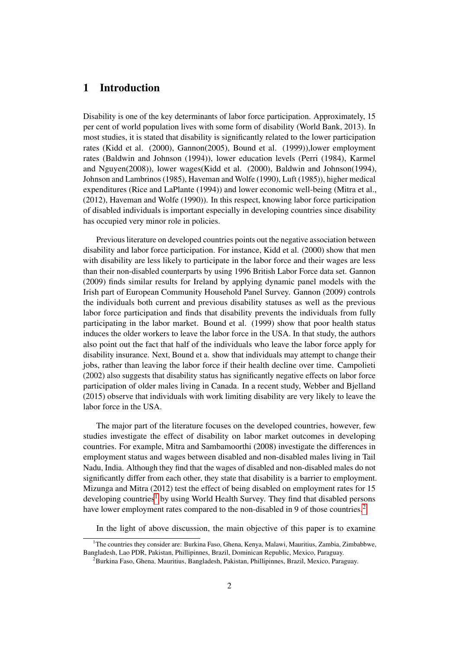## 1 Introduction

Disability is one of the key determinants of labor force participation. Approximately, 15 per cent of world population lives with some form of disability (World Bank, 2013). In most studies, it is stated that disability is significantly related to the lower participation rates (Kidd et al. (2000), Gannon(2005), Bound et al. (1999)),lower employment rates (Baldwin and Johnson (1994)), lower education levels (Perri (1984), Karmel and Nguyen(2008)), lower wages(Kidd et al. (2000), Baldwin and Johnson(1994), Johnson and Lambrinos (1985), Haveman and Wolfe (1990), Luft (1985)), higher medical expenditures (Rice and LaPlante (1994)) and lower economic well-being (Mitra et al., (2012), Haveman and Wolfe (1990)). In this respect, knowing labor force participation of disabled individuals is important especially in developing countries since disability has occupied very minor role in policies.

Previous literature on developed countries points out the negative association between disability and labor force participation. For instance, Kidd et al. (2000) show that men with disability are less likely to participate in the labor force and their wages are less than their non-disabled counterparts by using 1996 British Labor Force data set. Gannon (2009) finds similar results for Ireland by applying dynamic panel models with the Irish part of European Community Household Panel Survey. Gannon (2009) controls the individuals both current and previous disability statuses as well as the previous labor force participation and finds that disability prevents the individuals from fully participating in the labor market. Bound et al. (1999) show that poor health status induces the older workers to leave the labor force in the USA. In that study, the authors also point out the fact that half of the individuals who leave the labor force apply for disability insurance. Next, Bound et a. show that individuals may attempt to change their jobs, rather than leaving the labor force if their health decline over time. Campolieti (2002) also suggests that disability status has significantly negative effects on labor force participation of older males living in Canada. In a recent study, Webber and Bjelland (2015) observe that individuals with work limiting disability are very likely to leave the labor force in the USA.

The major part of the literature focuses on the developed countries, however, few studies investigate the effect of disability on labor market outcomes in developing countries. For example, Mitra and Sambamoorthi (2008) investigate the differences in employment status and wages between disabled and non-disabled males living in Tail Nadu, India. Although they find that the wages of disabled and non-disabled males do not significantly differ from each other, they state that disability is a barrier to employment. Mizunga and Mitra (2012) test the effect of being disabled on employment rates for 15 developing countries<sup>[1]</sup> by using World Health Survey. They find that disabled persons have lower employment rates compared to the non-disabled in 9 of those countries.<sup>[2]</sup>

In the light of above discussion, the main objective of this paper is to examine

<sup>&</sup>lt;sup>1</sup>The countries they consider are: Burkina Faso, Ghena, Kenya, Malawi, Mauritius, Zambia, Zimbabbwe, Bangladesh, Lao PDR, Pakistan, Phillipinnes, Brazil, Dominican Republic, Mexico, Paraguay.

<sup>&</sup>lt;sup>2</sup>Burkina Faso, Ghena, Mauritius, Bangladesh, Pakistan, Phillipinnes, Brazil, Mexico, Paraguay.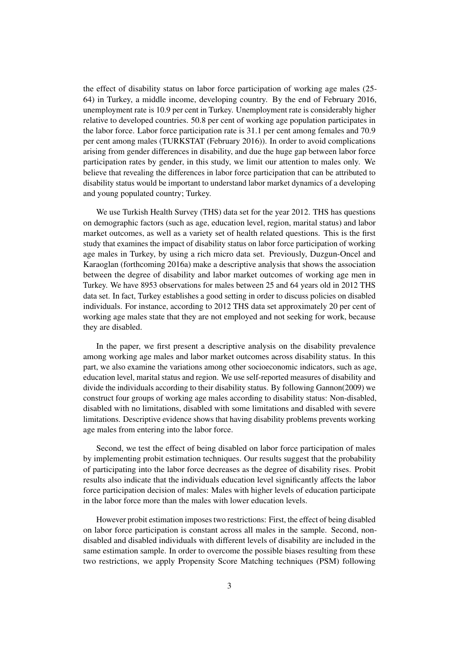the effect of disability status on labor force participation of working age males (25- 64) in Turkey, a middle income, developing country. By the end of February 2016, unemployment rate is 10.9 per cent in Turkey. Unemployment rate is considerably higher relative to developed countries. 50.8 per cent of working age population participates in the labor force. Labor force participation rate is 31.1 per cent among females and 70.9 per cent among males (TURKSTAT (February 2016)). In order to avoid complications arising from gender differences in disability, and due the huge gap between labor force participation rates by gender, in this study, we limit our attention to males only. We believe that revealing the differences in labor force participation that can be attributed to disability status would be important to understand labor market dynamics of a developing and young populated country; Turkey.

We use Turkish Health Survey (THS) data set for the year 2012. THS has questions on demographic factors (such as age, education level, region, marital status) and labor market outcomes, as well as a variety set of health related questions. This is the first study that examines the impact of disability status on labor force participation of working age males in Turkey, by using a rich micro data set. Previously, Duzgun-Oncel and Karaoglan (forthcoming 2016a) make a descriptive analysis that shows the association between the degree of disability and labor market outcomes of working age men in Turkey. We have 8953 observations for males between 25 and 64 years old in 2012 THS data set. In fact, Turkey establishes a good setting in order to discuss policies on disabled individuals. For instance, according to 2012 THS data set approximately 20 per cent of working age males state that they are not employed and not seeking for work, because they are disabled.

In the paper, we first present a descriptive analysis on the disability prevalence among working age males and labor market outcomes across disability status. In this part, we also examine the variations among other socioeconomic indicators, such as age, education level, marital status and region. We use self-reported measures of disability and divide the individuals according to their disability status. By following Gannon(2009) we construct four groups of working age males according to disability status: Non-disabled, disabled with no limitations, disabled with some limitations and disabled with severe limitations. Descriptive evidence shows that having disability problems prevents working age males from entering into the labor force.

Second, we test the effect of being disabled on labor force participation of males by implementing probit estimation techniques. Our results suggest that the probability of participating into the labor force decreases as the degree of disability rises. Probit results also indicate that the individuals education level significantly affects the labor force participation decision of males: Males with higher levels of education participate in the labor force more than the males with lower education levels.

However probit estimation imposes two restrictions: First, the effect of being disabled on labor force participation is constant across all males in the sample. Second, nondisabled and disabled individuals with different levels of disability are included in the same estimation sample. In order to overcome the possible biases resulting from these two restrictions, we apply Propensity Score Matching techniques (PSM) following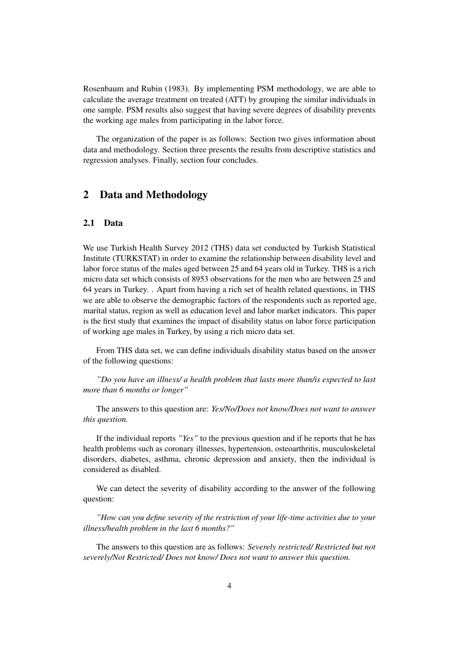Rosenbaum and Rubin (1983). By implementing PSM methodology, we are able to calculate the average treatment on treated (ATT) by grouping the similar individuals in one sample. PSM results also suggest that having severe degrees of disability prevents the working age males from participating in the labor force.

The organization of the paper is as follows: Section two gives information about data and methodology. Section three presents the results from descriptive statistics and regression analyses. Finally, section four concludes.

## 2 Data and Methodology

## 2.1 Data

We use Turkish Health Survey 2012 (THS) data set conducted by Turkish Statistical Institute (TURKSTAT) in order to examine the relationship between disability level and labor force status of the males aged between 25 and 64 years old in Turkey. THS is a rich micro data set which consists of 8953 observations for the men who are between 25 and 64 years in Turkey. . Apart from having a rich set of health related questions, in THS we are able to observe the demographic factors of the respondents such as reported age, marital status, region as well as education level and labor market indicators. This paper is the first study that examines the impact of disability status on labor force participation of working age males in Turkey, by using a rich micro data set.

From THS data set, we can define individuals disability status based on the answer of the following questions:

*"Do you have an illness/ a health problem that lasts more than/is expected to last more than 6 months or longer"*

The answers to this question are: *Yes/No/Does not know/Does not want to answer this question.*

If the individual reports *"Yes"* to the previous question and if he reports that he has health problems such as coronary illnesses, hypertension, osteoarthritis, musculoskeletal disorders, diabetes, asthma, chronic depression and anxiety, then the individual is considered as disabled.

We can detect the severity of disability according to the answer of the following question:

*"How can you define severity of the restriction of your life-time activities due to your illness/health problem in the last 6 months?"*

The answers to this question are as follows: *Severely restricted/ Restricted but not severely/Not Restricted/ Does not know/ Does not want to answer this question.*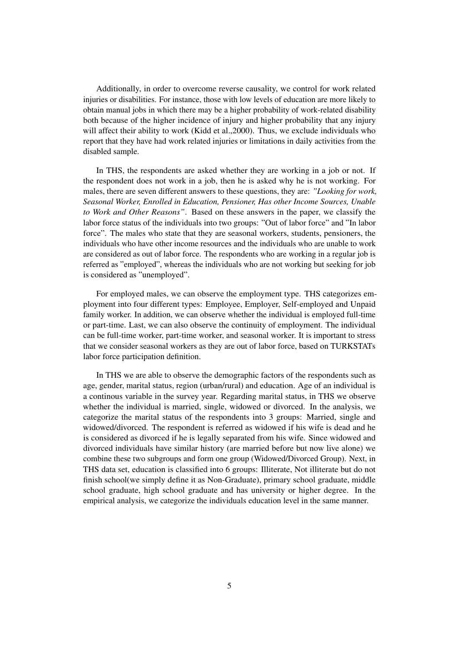Additionally, in order to overcome reverse causality, we control for work related injuries or disabilities. For instance, those with low levels of education are more likely to obtain manual jobs in which there may be a higher probability of work-related disability both because of the higher incidence of injury and higher probability that any injury will affect their ability to work (Kidd et al.,2000). Thus, we exclude individuals who report that they have had work related injuries or limitations in daily activities from the disabled sample.

In THS, the respondents are asked whether they are working in a job or not. If the respondent does not work in a job, then he is asked why he is not working. For males, there are seven different answers to these questions, they are: *"Looking for work, Seasonal Worker, Enrolled in Education, Pensioner, Has other Income Sources, Unable to Work and Other Reasons"*. Based on these answers in the paper, we classify the labor force status of the individuals into two groups: "Out of labor force" and "In labor force". The males who state that they are seasonal workers, students, pensioners, the individuals who have other income resources and the individuals who are unable to work are considered as out of labor force. The respondents who are working in a regular job is referred as "employed", whereas the individuals who are not working but seeking for job is considered as "unemployed".

For employed males, we can observe the employment type. THS categorizes employment into four different types: Employee, Employer, Self-employed and Unpaid family worker. In addition, we can observe whether the individual is employed full-time or part-time. Last, we can also observe the continuity of employment. The individual can be full-time worker, part-time worker, and seasonal worker. It is important to stress that we consider seasonal workers as they are out of labor force, based on TURKSTATs labor force participation definition.

In THS we are able to observe the demographic factors of the respondents such as age, gender, marital status, region (urban/rural) and education. Age of an individual is a continous variable in the survey year. Regarding marital status, in THS we observe whether the individual is married, single, widowed or divorced. In the analysis, we categorize the marital status of the respondents into 3 groups: Married, single and widowed/divorced. The respondent is referred as widowed if his wife is dead and he is considered as divorced if he is legally separated from his wife. Since widowed and divorced individuals have similar history (are married before but now live alone) we combine these two subgroups and form one group (Widowed/Divorced Group). Next, in THS data set, education is classified into 6 groups: Illiterate, Not illiterate but do not finish school(we simply define it as Non-Graduate), primary school graduate, middle school graduate, high school graduate and has university or higher degree. In the empirical analysis, we categorize the individuals education level in the same manner.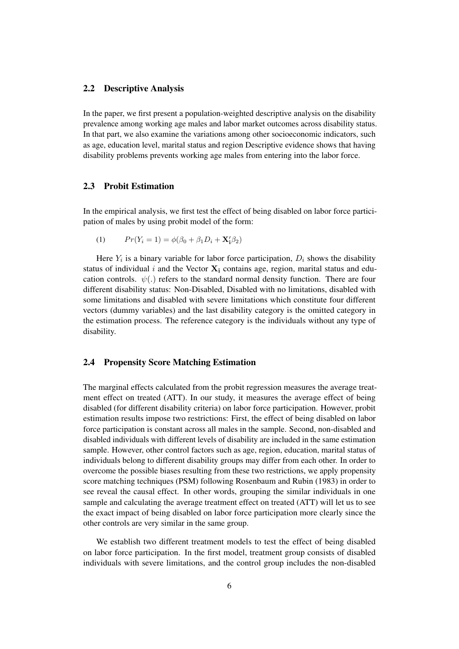## 2.2 Descriptive Analysis

In the paper, we first present a population-weighted descriptive analysis on the disability prevalence among working age males and labor market outcomes across disability status. In that part, we also examine the variations among other socioeconomic indicators, such as age, education level, marital status and region Descriptive evidence shows that having disability problems prevents working age males from entering into the labor force.

## 2.3 Probit Estimation

In the empirical analysis, we first test the effect of being disabled on labor force participation of males by using probit model of the form:

(1) 
$$
Pr(Y_i = 1) = \phi(\beta_0 + \beta_1 D_i + \mathbf{X}_1' \beta_2)
$$

Here  $Y_i$  is a binary variable for labor force participation,  $D_i$  shows the disability status of individual i and the Vector  $X_i$  contains age, region, marital status and education controls.  $\psi(.)$  refers to the standard normal density function. There are four different disability status: Non-Disabled, Disabled with no limitations, disabled with some limitations and disabled with severe limitations which constitute four different vectors (dummy variables) and the last disability category is the omitted category in the estimation process. The reference category is the individuals without any type of disability.

#### 2.4 Propensity Score Matching Estimation

The marginal effects calculated from the probit regression measures the average treatment effect on treated (ATT). In our study, it measures the average effect of being disabled (for different disability criteria) on labor force participation. However, probit estimation results impose two restrictions: First, the effect of being disabled on labor force participation is constant across all males in the sample. Second, non-disabled and disabled individuals with different levels of disability are included in the same estimation sample. However, other control factors such as age, region, education, marital status of individuals belong to different disability groups may differ from each other. In order to overcome the possible biases resulting from these two restrictions, we apply propensity score matching techniques (PSM) following Rosenbaum and Rubin (1983) in order to see reveal the causal effect. In other words, grouping the similar individuals in one sample and calculating the average treatment effect on treated (ATT) will let us to see the exact impact of being disabled on labor force participation more clearly since the other controls are very similar in the same group.

We establish two different treatment models to test the effect of being disabled on labor force participation. In the first model, treatment group consists of disabled individuals with severe limitations, and the control group includes the non-disabled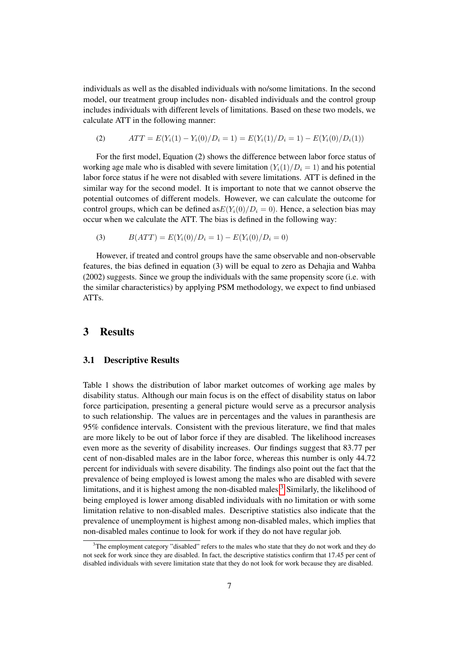individuals as well as the disabled individuals with no/some limitations. In the second model, our treatment group includes non- disabled individuals and the control group includes individuals with different levels of limitations. Based on these two models, we calculate ATT in the following manner:

(2) 
$$
ATT = E(Y_i(1) - Y_i(0)/D_i = 1) = E(Y_i(1)/D_i = 1) - E(Y_i(0)/D_i(1))
$$

For the first model, Equation (2) shows the difference between labor force status of working age male who is disabled with severe limitation  $(Y_i(1)/D_i = 1)$  and his potential labor force status if he were not disabled with severe limitations. ATT is defined in the similar way for the second model. It is important to note that we cannot observe the potential outcomes of different models. However, we can calculate the outcome for control groups, which can be defined as  $E(Y_i(0)/D_i = 0)$ . Hence, a selection bias may occur when we calculate the ATT. The bias is defined in the following way:

(3) 
$$
B(ATT) = E(Y_i(0)/D_i = 1) - E(Y_i(0)/D_i = 0)
$$

However, if treated and control groups have the same observable and non-observable features, the bias defined in equation (3) will be equal to zero as Dehajia and Wahba (2002) suggests. Since we group the individuals with the same propensity score (i.e. with the similar characteristics) by applying PSM methodology, we expect to find unbiased ATTs.

## 3 Results

#### 3.1 Descriptive Results

Table 1 shows the distribution of labor market outcomes of working age males by disability status. Although our main focus is on the effect of disability status on labor force participation, presenting a general picture would serve as a precursor analysis to such relationship. The values are in percentages and the values in paranthesis are 95% confidence intervals. Consistent with the previous literature, we find that males are more likely to be out of labor force if they are disabled. The likelihood increases even more as the severity of disability increases. Our findings suggest that 83.77 per cent of non-disabled males are in the labor force, whereas this number is only 44.72 percent for individuals with severe disability. The findings also point out the fact that the prevalence of being employed is lowest among the males who are disabled with severe limitations, and it is highest among the non-disabled males $\frac{3}{3}$  Similarly, the likelihood of being employed is lower among disabled individuals with no limitation or with some limitation relative to non-disabled males. Descriptive statistics also indicate that the prevalence of unemployment is highest among non-disabled males, which implies that non-disabled males continue to look for work if they do not have regular job.

<sup>&</sup>lt;sup>3</sup>The employment category "disabled" refers to the males who state that they do not work and they do not seek for work since they are disabled. In fact, the descriptive statistics confirm that 17.45 per cent of disabled individuals with severe limitation state that they do not look for work because they are disabled.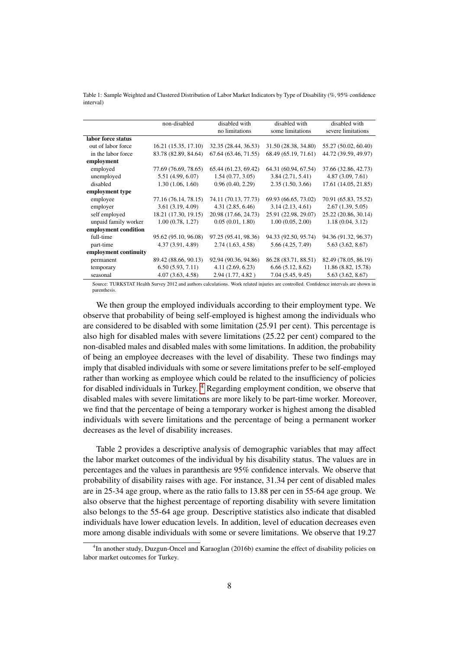Table 1: Sample Weighted and Clustered Distribution of Labor Market Indicators by Type of Disability (%, 95% confidence interval)

|                                                                                                                                 | non-disabled         | disabled with<br>disabled with |                      | disabled with        |  |  |  |
|---------------------------------------------------------------------------------------------------------------------------------|----------------------|--------------------------------|----------------------|----------------------|--|--|--|
|                                                                                                                                 |                      | no limitations                 | some limitations     | severe limitations   |  |  |  |
| labor force status                                                                                                              |                      |                                |                      |                      |  |  |  |
| out of labor force                                                                                                              | 16.21 (15.35, 17.10) | 32.35 (28.44, 36.53)           | 31.50 (28.38, 34.80) | 55.27 (50.02, 60.40) |  |  |  |
| in the labor force                                                                                                              | 83.78 (82.89, 84.64) | 67.64 (63.46, 71.55)           | 68.49 (65.19, 71.61) | 44.72 (39.59, 49.97) |  |  |  |
| employment                                                                                                                      |                      |                                |                      |                      |  |  |  |
| employed                                                                                                                        | 77.69 (76.69, 78.65) | 65.44 (61.23, 69.42)           | 64.31 (60.94, 67.54) | 37.66 (32.86, 42.73) |  |  |  |
| unemployed                                                                                                                      | 5.51 (4.99, 6.07)    | 1.54(0.77, 3.05)               | 3.84(2.71, 5.41)     | 4.87(3.09, 7.61)     |  |  |  |
| disabled                                                                                                                        | 1.30(1.06, 1.60)     | 0.96(0.40, 2.29)               | 2.35(1.50, 3.66)     | 17.61 (14.05, 21.85) |  |  |  |
| employment type                                                                                                                 |                      |                                |                      |                      |  |  |  |
| employee                                                                                                                        | 77.16 (76.14, 78.15) | 74.11 (70.13, 77.73)           | 69.93 (66.65, 73.02) | 70.91 (65.83, 75.52) |  |  |  |
| employer                                                                                                                        | 3.61(3.19, 4.09)     | 4.31(2.85, 6.46)               | 3.14(2.13, 4.61)     | 2.67(1.39, 5.05)     |  |  |  |
| self employed                                                                                                                   | 18.21 (17.30, 19.15) | 20.98 (17.66, 24.73)           | 25.91 (22.98, 29.07) | 25.22 (20.86, 30.14) |  |  |  |
| unpaid family worker                                                                                                            | 1.00(0.78, 1.27)     | 0.05(0.01, 1.80)               | 1.00(0.05, 2.00)     | 1.18(0.04, 3.12)     |  |  |  |
| employment condition                                                                                                            |                      |                                |                      |                      |  |  |  |
| full-time                                                                                                                       | 95.62 (95.10, 96.08) | 97.25 (95.41, 98.36)           | 94.33 (92.50, 95.74) | 94.36 (91.32, 96.37) |  |  |  |
| part-time                                                                                                                       | 4.37 (3.91, 4.89)    | 2.74(1.63, 4.58)               | 5.66 (4.25, 7.49)    | 5.63(3.62, 8.67)     |  |  |  |
| employment continuity                                                                                                           |                      |                                |                      |                      |  |  |  |
| permanent                                                                                                                       | 89.42 (88.66, 90.13) | 92.94 (90.36, 94.86)           | 86.28 (83.71, 88.51) | 82.49 (78.05, 86.19) |  |  |  |
| temporary                                                                                                                       | 6.50(5.93, 7.11)     | 4.11(2.69, 6.23)               | 6.66(5.12, 8.62)     | 11.86 (8.82, 15.78)  |  |  |  |
| seasonal                                                                                                                        | 4.07(3.63, 4.58)     | 2.94(1.77, 4.82)               | 7.04(5.45, 9.45)     | 5.63(3.62, 8.67)     |  |  |  |
| Corners THIDICTATHILLE Company 2012 and produced actual distributional interference and produced and the control and decoration |                      |                                |                      |                      |  |  |  |

Source: TURKSTAT Health Survey 2012 and authors calculations. Work related injuries are controlled. Confidence intervals are shown in parenthesis.

We then group the employed individuals according to their employment type. We observe that probability of being self-employed is highest among the individuals who are considered to be disabled with some limitation (25.91 per cent). This percentage is also high for disabled males with severe limitations (25.22 per cent) compared to the non-disabled males and disabled males with some limitations. In addition, the probability of being an employee decreases with the level of disability. These two findings may imply that disabled individuals with some or severe limitations prefer to be self-employed rather than working as employee which could be related to the insufficiency of policies for disabled individuals in Turkey.  $\frac{4}{7}$  Regarding employment condition, we observe that disabled males with severe limitations are more likely to be part-time worker. Moreover, we find that the percentage of being a temporary worker is highest among the disabled individuals with severe limitations and the percentage of being a permanent worker decreases as the level of disability increases.

Table 2 provides a descriptive analysis of demographic variables that may affect the labor market outcomes of the individual by his disability status. The values are in percentages and the values in paranthesis are 95% confidence intervals. We observe that probability of disability raises with age. For instance, 31.34 per cent of disabled males are in 25-34 age group, where as the ratio falls to 13.88 per cen in 55-64 age group. We also observe that the highest percentage of reporting disability with severe limitation also belongs to the 55-64 age group. Descriptive statistics also indicate that disabled individuals have lower education levels. In addition, level of education decreases even more among disable individuals with some or severe limitations. We observe that 19.27

<sup>&</sup>lt;sup>4</sup>In another study, Duzgun-Oncel and Karaoglan (2016b) examine the effect of disability policies on labor market outcomes for Turkey.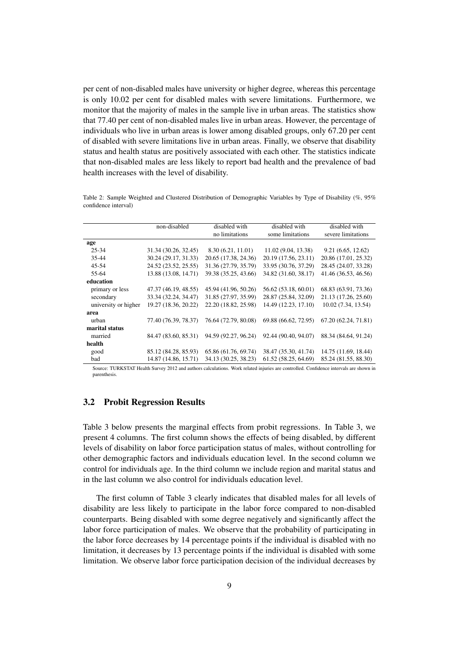per cent of non-disabled males have university or higher degree, whereas this percentage is only 10.02 per cent for disabled males with severe limitations. Furthermore, we monitor that the majority of males in the sample live in urban areas. The statistics show that 77.40 per cent of non-disabled males live in urban areas. However, the percentage of individuals who live in urban areas is lower among disabled groups, only 67.20 per cent of disabled with severe limitations live in urban areas. Finally, we observe that disability status and health status are positively associated with each other. The statistics indicate that non-disabled males are less likely to report bad health and the prevalence of bad health increases with the level of disability.

Table 2: Sample Weighted and Clustered Distribution of Demographic Variables by Type of Disability (%, 95% confidence interval)

|                      | non-disabled         | disabled with        | disabled with        | disabled with        |
|----------------------|----------------------|----------------------|----------------------|----------------------|
|                      |                      | no limitations       | some limitations     | severe limitations   |
| age                  |                      |                      |                      |                      |
| $25 - 34$            | 31.34 (30.26, 32.45) | 8.30(6.21, 11.01)    | 11.02 (9.04, 13.38)  | 9.21(6.65, 12.62)    |
| 35-44                | 30.24 (29.17, 31.33) | 20.65 (17.38, 24.36) | 20.19 (17.56, 23.11) | 20.86 (17.01, 25.32) |
| $45 - 54$            | 24.52 (23.52, 25.55) | 31.36 (27.79, 35.79) | 33.95 (30.76, 37.29) | 28.45 (24.07, 33.28) |
| 55-64                | 13.88 (13.08, 14.71) | 39.38 (35.25, 43.66) | 34.82 (31.60, 38.17) | 41.46 (36.53, 46.56) |
| education            |                      |                      |                      |                      |
| primary or less      | 47.37 (46.19, 48.55) | 45.94 (41.96, 50.26) | 56.62 (53.18, 60.01) | 68.83 (63.91, 73.36) |
| secondary            | 33.34 (32.24, 34.47) | 31.85 (27.97, 35.99) | 28.87 (25.84, 32.09) | 21.13 (17.26, 25.60) |
| university or higher | 19.27 (18.36, 20.22) | 22.20 (18.82, 25.98) | 14.49 (12.23, 17.10) | 10.02 (7.34, 13.54)  |
| area                 |                      |                      |                      |                      |
| urban                | 77.40 (76.39, 78.37) | 76.64 (72.79, 80.08) | 69.88 (66.62, 72.95) | 67.20 (62.24, 71.81) |
| marital status       |                      |                      |                      |                      |
| married              | 84.47 (83.60, 85.31) | 94.59 (92.27, 96.24) | 92.44 (90.40, 94.07) | 88.34 (84.64, 91.24) |
| health               |                      |                      |                      |                      |
| good                 | 85.12 (84.28, 85.93) | 65.86 (61.76, 69.74) | 38.47 (35.30, 41.74) | 14.75 (11.69, 18.44) |
| bad                  | 14.87 (14.86, 15.71) | 34.13 (30.25, 38.23) | 61.52 (58.25, 64.69) | 85.24 (81.55, 88.30) |

Source: TURKSTAT Health Survey 2012 and authors calculations. Work related injuries are controlled. Confidence intervals are shown in parenthesis.

## 3.2 Probit Regression Results

Table 3 below presents the marginal effects from probit regressions. In Table 3, we present 4 columns. The first column shows the effects of being disabled, by different levels of disability on labor force participation status of males, without controlling for other demographic factors and individuals education level. In the second column we control for individuals age. In the third column we include region and marital status and in the last column we also control for individuals education level.

The first column of Table 3 clearly indicates that disabled males for all levels of disability are less likely to participate in the labor force compared to non-disabled counterparts. Being disabled with some degree negatively and significantly affect the labor force participation of males. We observe that the probability of participating in the labor force decreases by 14 percentage points if the individual is disabled with no limitation, it decreases by 13 percentage points if the individual is disabled with some limitation. We observe labor force participation decision of the individual decreases by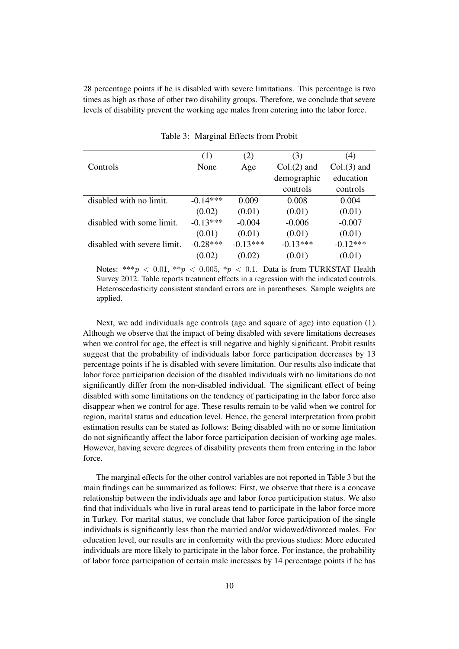28 percentage points if he is disabled with severe limitations. This percentage is two times as high as those of other two disability groups. Therefore, we conclude that severe levels of disability prevent the working age males from entering into the labor force.

|                             | (1)        | (2)        | (3)           | (4)           |
|-----------------------------|------------|------------|---------------|---------------|
| Controls                    | None       | Age        | $Col.(2)$ and | $Col.(3)$ and |
|                             |            |            | demographic   | education     |
|                             |            |            | controls      | controls      |
| disabled with no limit.     | $-0.14***$ | 0.009      | 0.008         | 0.004         |
|                             | (0.02)     | (0.01)     | (0.01)        | (0.01)        |
| disabled with some limit.   | $-0.13***$ | $-0.004$   | $-0.006$      | $-0.007$      |
|                             | (0.01)     | (0.01)     | (0.01)        | (0.01)        |
| disabled with severe limit. | $-0.28***$ | $-0.13***$ | $-0.13***$    | $-0.12***$    |
|                             | (0.02)     | (0.02)     | (0.01)        | (0.01)        |

Table 3: Marginal Effects from Probit

Notes: \*\*\*p < 0.01, \*\*p < 0.005, \*p < 0.1. Data is from TURKSTAT Health Survey 2012. Table reports treatment effects in a regression with the indicated controls. Heteroscedasticity consistent standard errors are in parentheses. Sample weights are applied.

Next, we add individuals age controls (age and square of age) into equation (1). Although we observe that the impact of being disabled with severe limitations decreases when we control for age, the effect is still negative and highly significant. Probit results suggest that the probability of individuals labor force participation decreases by 13 percentage points if he is disabled with severe limitation. Our results also indicate that labor force participation decision of the disabled individuals with no limitations do not significantly differ from the non-disabled individual. The significant effect of being disabled with some limitations on the tendency of participating in the labor force also disappear when we control for age. These results remain to be valid when we control for region, marital status and education level. Hence, the general interpretation from probit estimation results can be stated as follows: Being disabled with no or some limitation do not significantly affect the labor force participation decision of working age males. However, having severe degrees of disability prevents them from entering in the labor force.

The marginal effects for the other control variables are not reported in Table 3 but the main findings can be summarized as follows: First, we observe that there is a concave relationship between the individuals age and labor force participation status. We also find that individuals who live in rural areas tend to participate in the labor force more in Turkey. For marital status, we conclude that labor force participation of the single individuals is significantly less than the married and/or widowed/divorced males. For education level, our results are in conformity with the previous studies: More educated individuals are more likely to participate in the labor force. For instance, the probability of labor force participation of certain male increases by 14 percentage points if he has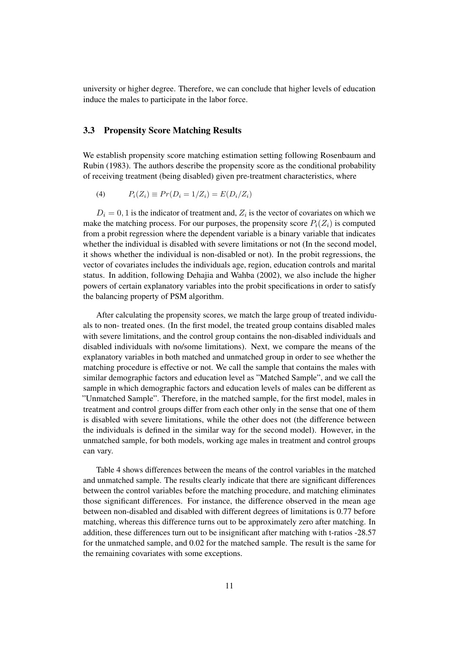university or higher degree. Therefore, we can conclude that higher levels of education induce the males to participate in the labor force.

## 3.3 Propensity Score Matching Results

We establish propensity score matching estimation setting following Rosenbaum and Rubin (1983). The authors describe the propensity score as the conditional probability of receiving treatment (being disabled) given pre-treatment characteristics, where

(4) 
$$
P_i(Z_i) \equiv Pr(D_i = 1/Z_i) = E(D_i/Z_i)
$$

 $D_i = 0, 1$  is the indicator of treatment and,  $Z_i$  is the vector of covariates on which we make the matching process. For our purposes, the propensity score  $P_i(Z_i)$  is computed from a probit regression where the dependent variable is a binary variable that indicates whether the individual is disabled with severe limitations or not (In the second model, it shows whether the individual is non-disabled or not). In the probit regressions, the vector of covariates includes the individuals age, region, education controls and marital status. In addition, following Dehajia and Wahba (2002), we also include the higher powers of certain explanatory variables into the probit specifications in order to satisfy the balancing property of PSM algorithm.

After calculating the propensity scores, we match the large group of treated individuals to non- treated ones. (In the first model, the treated group contains disabled males with severe limitations, and the control group contains the non-disabled individuals and disabled individuals with no/some limitations). Next, we compare the means of the explanatory variables in both matched and unmatched group in order to see whether the matching procedure is effective or not. We call the sample that contains the males with similar demographic factors and education level as "Matched Sample", and we call the sample in which demographic factors and education levels of males can be different as "Unmatched Sample". Therefore, in the matched sample, for the first model, males in treatment and control groups differ from each other only in the sense that one of them is disabled with severe limitations, while the other does not (the difference between the individuals is defined in the similar way for the second model). However, in the unmatched sample, for both models, working age males in treatment and control groups can vary.

Table 4 shows differences between the means of the control variables in the matched and unmatched sample. The results clearly indicate that there are significant differences between the control variables before the matching procedure, and matching eliminates those significant differences. For instance, the difference observed in the mean age between non-disabled and disabled with different degrees of limitations is 0.77 before matching, whereas this difference turns out to be approximately zero after matching. In addition, these differences turn out to be insignificant after matching with t-ratios -28.57 for the unmatched sample, and 0.02 for the matched sample. The result is the same for the remaining covariates with some exceptions.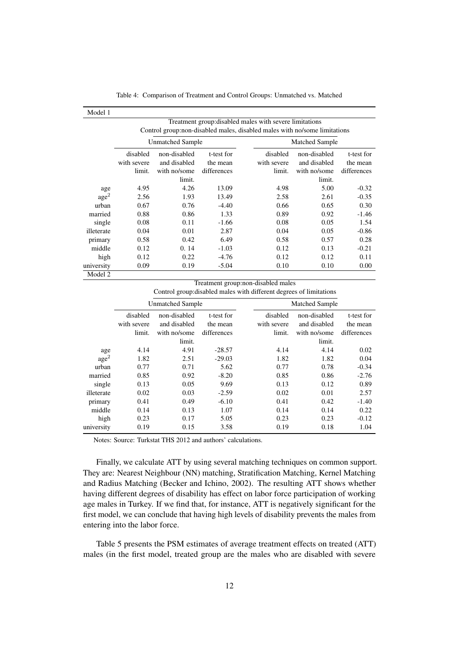|  |  |  |  |  | Table 4: Comparison of Treatment and Control Groups: Unmatched vs. Matched |  |
|--|--|--|--|--|----------------------------------------------------------------------------|--|
|--|--|--|--|--|----------------------------------------------------------------------------|--|

| Model 1                                                 |                                                                            |              |             |             |                       |             |  |  |
|---------------------------------------------------------|----------------------------------------------------------------------------|--------------|-------------|-------------|-----------------------|-------------|--|--|
| Treatment group: disabled males with severe limitations |                                                                            |              |             |             |                       |             |  |  |
|                                                         | Control group: non-disabled males, disabled males with no/some limitations |              |             |             |                       |             |  |  |
|                                                         | Unmatched Sample                                                           |              |             |             | <b>Matched Sample</b> |             |  |  |
|                                                         | disabled                                                                   | non-disabled | t-test for  | disabled    | non-disabled          | t-test for  |  |  |
|                                                         | with severe                                                                | and disabled | the mean    | with severe | and disabled          | the mean    |  |  |
|                                                         | limit.                                                                     | with no/some | differences | limit.      | with no/some          | differences |  |  |
|                                                         |                                                                            | limit.       |             |             | limit.                |             |  |  |
| age                                                     | 4.95                                                                       | 4.26         | 13.09       | 4.98        | 5.00                  | $-0.32$     |  |  |
| age <sup>2</sup>                                        | 2.56                                                                       | 1.93         | 13.49       | 2.58        | 2.61                  | $-0.35$     |  |  |
| urban                                                   | 0.67                                                                       | 0.76         | $-4.40$     | 0.66        | 0.65                  | 0.30        |  |  |
| married                                                 | 0.88                                                                       | 0.86         | 1.33        | 0.89        | 0.92                  | $-1.46$     |  |  |
| single                                                  | 0.08                                                                       | 0.11         | $-1.66$     | 0.08        | 0.05                  | 1.54        |  |  |
| illeterate                                              | 0.04                                                                       | 0.01         | 2.87        | 0.04        | 0.05                  | $-0.86$     |  |  |
| primary                                                 | 0.58                                                                       | 0.42         | 6.49        | 0.58        | 0.57                  | 0.28        |  |  |
| middle                                                  | 0.12                                                                       | 0.14         | $-1.03$     | 0.12        | 0.13                  | $-0.21$     |  |  |
| high                                                    | 0.12                                                                       | 0.22         | $-4.76$     | 0.12        | 0.12                  | 0.11        |  |  |
| university                                              | 0.09                                                                       | 0.19         | $-5.04$     | 0.10        | 0.10                  | 0.00        |  |  |
| Model 2                                                 |                                                                            |              |             |             |                       |             |  |  |

Treatment group:non-disabled males

Control group:disabled males with different degrees of limitations

| Unmatched Sample |              |             |             | <b>Matched Sample</b> |             |  |
|------------------|--------------|-------------|-------------|-----------------------|-------------|--|
| disabled         | non-disabled | t-test for  | disabled    | non-disabled          | t-test for  |  |
| with severe      | and disabled | the mean    | with severe | and disabled          | the mean    |  |
| limit.           | with no/some | differences | limit.      | with no/some          | differences |  |
|                  | limit.       |             |             | limit.                |             |  |
| 4.14             | 4.91         | $-28.57$    | 4.14        | 4.14                  | 0.02        |  |
| 1.82             | 2.51         | $-29.03$    | 1.82        | 1.82                  | 0.04        |  |
| 0.77             | 0.71         | 5.62        | 0.77        | 0.78                  | $-0.34$     |  |
| 0.85             | 0.92         | $-8.20$     | 0.85        | 0.86                  | $-2.76$     |  |
| 0.13             | 0.05         | 9.69        | 0.13        | 0.12                  | 0.89        |  |
| 0.02             | 0.03         | $-2.59$     | 0.02        | 0.01                  | 2.57        |  |
| 0.41             | 0.49         | $-6.10$     | 0.41        | 0.42                  | $-1.40$     |  |
| 0.14             | 0.13         | 1.07        | 0.14        | 0.14                  | 0.22        |  |
| 0.23             | 0.17         | 5.05        | 0.23        | 0.23                  | $-0.12$     |  |
| 0.19             | 0.15         | 3.58        | 0.19        | 0.18                  | 1.04        |  |
|                  |              |             |             |                       |             |  |

Notes: Source: Turkstat THS 2012 and authors' calculations.

Finally, we calculate ATT by using several matching techniques on common support. They are: Nearest Neighbour (NN) matching, Stratification Matching, Kernel Matching and Radius Matching (Becker and Ichino, 2002). The resulting ATT shows whether having different degrees of disability has effect on labor force participation of working age males in Turkey. If we find that, for instance, ATT is negatively significant for the first model, we can conclude that having high levels of disability prevents the males from entering into the labor force.

Table 5 presents the PSM estimates of average treatment effects on treated (ATT) males (in the first model, treated group are the males who are disabled with severe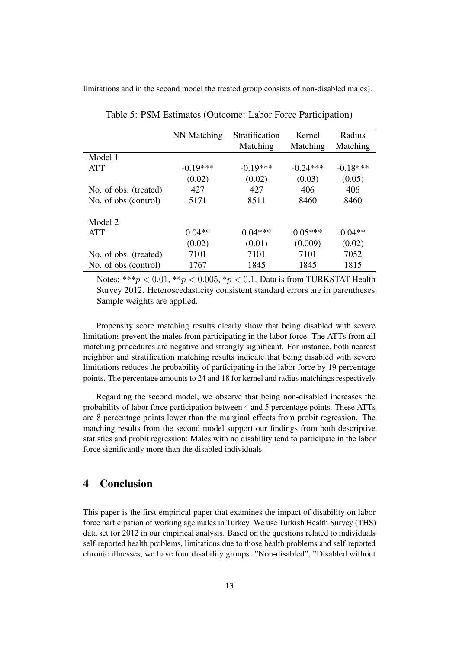limitations and in the second model the treated group consists of non-disabled males).

|                       | NN Matching | Stratification | Kernel     | Radius     |
|-----------------------|-------------|----------------|------------|------------|
|                       |             | Matching       | Matching   | Matching   |
| Model 1               |             |                |            |            |
| <b>ATT</b>            | $-0.19***$  | $-0.19***$     | $-0.24***$ | $-0.18***$ |
|                       | (0.02)      | (0.02)         | (0.03)     | (0.05)     |
| No. of obs. (treated) | 427         | 427            | 406        | 406        |
| No. of obs (control)  | 5171        | 8511           | 8460       | 8460       |
| Model 2               |             |                |            |            |
| ATT                   | $0.04**$    | $0.04***$      | $0.05***$  | $0.04**$   |
|                       | (0.02)      | (0.01)         | (0.009)    | (0.02)     |
| No. of obs. (treated) | 7101        | 7101           | 7101       | 7052       |
| No. of obs (control)  | 1767        | 1845           | 1845       | 1815       |

Table 5: PSM Estimates (Outcome: Labor Force Participation)

Notes: \*\*\* $p < 0.01$ , \*\* $p < 0.005$ , \* $p < 0.1$ . Data is from TURKSTAT Health Survey 2012. Heteroscedasticity consistent standard errors are in parentheses. Sample weights are applied.

Propensity score matching results clearly show that being disabled with severe limitations prevent the males from participating in the labor force. The ATTs from all matching procedures are negative and strongly significant. For instance, both nearest neighbor and stratification matching results indicate that being disabled with severe limitations reduces the probability of participating in the labor force by 19 percentage points. The percentage amounts to 24 and 18 for kernel and radius matchings respectively.

Regarding the second model, we observe that being non-disabled increases the probability of labor force participation between 4 and 5 percentage points. These ATTs are 8 percentage points lower than the marginal effects from probit regression. The matching results from the second model support our findings from both descriptive statistics and probit regression: Males with no disability tend to participate in the labor force significantly more than the disabled individuals.

## 4 Conclusion

This paper is the first empirical paper that examines the impact of disability on labor force participation of working age males in Turkey. We use Turkish Health Survey (THS) data set for 2012 in our empirical analysis. Based on the questions related to individuals self-reported health problems, limitations due to those health problems and self-reported chronic illnesses, we have four disability groups: "Non-disabled", "Disabled without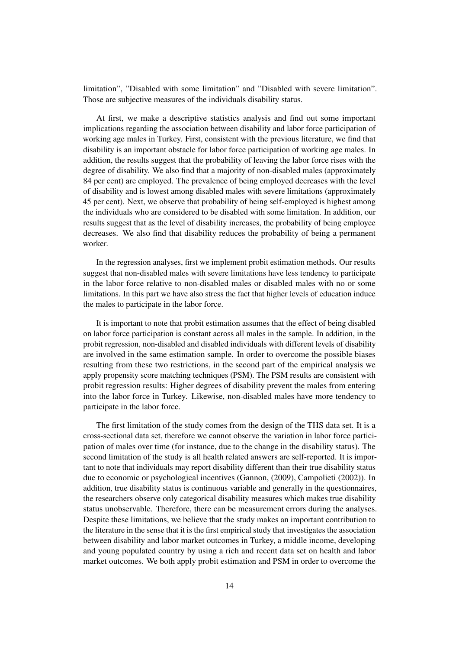limitation", "Disabled with some limitation" and "Disabled with severe limitation". Those are subjective measures of the individuals disability status.

At first, we make a descriptive statistics analysis and find out some important implications regarding the association between disability and labor force participation of working age males in Turkey. First, consistent with the previous literature, we find that disability is an important obstacle for labor force participation of working age males. In addition, the results suggest that the probability of leaving the labor force rises with the degree of disability. We also find that a majority of non-disabled males (approximately 84 per cent) are employed. The prevalence of being employed decreases with the level of disability and is lowest among disabled males with severe limitations (approximately 45 per cent). Next, we observe that probability of being self-employed is highest among the individuals who are considered to be disabled with some limitation. In addition, our results suggest that as the level of disability increases, the probability of being employee decreases. We also find that disability reduces the probability of being a permanent worker.

In the regression analyses, first we implement probit estimation methods. Our results suggest that non-disabled males with severe limitations have less tendency to participate in the labor force relative to non-disabled males or disabled males with no or some limitations. In this part we have also stress the fact that higher levels of education induce the males to participate in the labor force.

It is important to note that probit estimation assumes that the effect of being disabled on labor force participation is constant across all males in the sample. In addition, in the probit regression, non-disabled and disabled individuals with different levels of disability are involved in the same estimation sample. In order to overcome the possible biases resulting from these two restrictions, in the second part of the empirical analysis we apply propensity score matching techniques (PSM). The PSM results are consistent with probit regression results: Higher degrees of disability prevent the males from entering into the labor force in Turkey. Likewise, non-disabled males have more tendency to participate in the labor force.

The first limitation of the study comes from the design of the THS data set. It is a cross-sectional data set, therefore we cannot observe the variation in labor force participation of males over time (for instance, due to the change in the disability status). The second limitation of the study is all health related answers are self-reported. It is important to note that individuals may report disability different than their true disability status due to economic or psychological incentives (Gannon, (2009), Campolieti (2002)). In addition, true disability status is continuous variable and generally in the questionnaires, the researchers observe only categorical disability measures which makes true disability status unobservable. Therefore, there can be measurement errors during the analyses. Despite these limitations, we believe that the study makes an important contribution to the literature in the sense that it is the first empirical study that investigates the association between disability and labor market outcomes in Turkey, a middle income, developing and young populated country by using a rich and recent data set on health and labor market outcomes. We both apply probit estimation and PSM in order to overcome the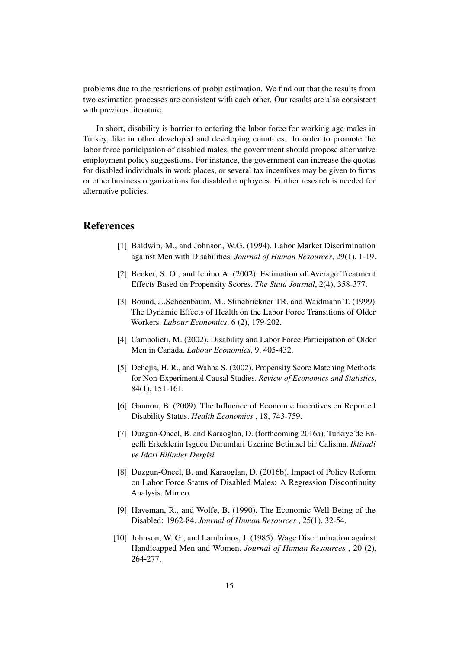problems due to the restrictions of probit estimation. We find out that the results from two estimation processes are consistent with each other. Our results are also consistent with previous literature.

In short, disability is barrier to entering the labor force for working age males in Turkey, like in other developed and developing countries. In order to promote the labor force participation of disabled males, the government should propose alternative employment policy suggestions. For instance, the government can increase the quotas for disabled individuals in work places, or several tax incentives may be given to firms or other business organizations for disabled employees. Further research is needed for alternative policies.

## References

- [1] Baldwin, M., and Johnson, W.G. (1994). Labor Market Discrimination against Men with Disabilities. *Journal of Human Resources*, 29(1), 1-19.
- [2] Becker, S. O., and Ichino A. (2002). Estimation of Average Treatment Effects Based on Propensity Scores. *The Stata Journal*, 2(4), 358-377.
- [3] Bound, J.,Schoenbaum, M., Stinebrickner TR. and Waidmann T. (1999). The Dynamic Effects of Health on the Labor Force Transitions of Older Workers. *Labour Economics*, 6 (2), 179-202.
- [4] Campolieti, M. (2002). Disability and Labor Force Participation of Older Men in Canada. *Labour Economics*, 9, 405-432.
- [5] Dehejia, H. R., and Wahba S. (2002). Propensity Score Matching Methods for Non-Experimental Causal Studies. *Review of Economics and Statistics*, 84(1), 151-161.
- [6] Gannon, B. (2009). The Influence of Economic Incentives on Reported Disability Status. *Health Economics* , 18, 743-759.
- [7] Duzgun-Oncel, B. and Karaoglan, D. (forthcoming 2016a). Turkiye'de Engelli Erkeklerin Isgucu Durumlari Uzerine Betimsel bir Calisma. *Iktisadi ve Idari Bilimler Dergisi*
- [8] Duzgun-Oncel, B. and Karaoglan, D. (2016b). Impact of Policy Reform on Labor Force Status of Disabled Males: A Regression Discontinuity Analysis. Mimeo.
- [9] Haveman, R., and Wolfe, B. (1990). The Economic Well-Being of the Disabled: 1962-84. *Journal of Human Resources* , 25(1), 32-54.
- [10] Johnson, W. G., and Lambrinos, J. (1985). Wage Discrimination against Handicapped Men and Women. *Journal of Human Resources* , 20 (2), 264-277.